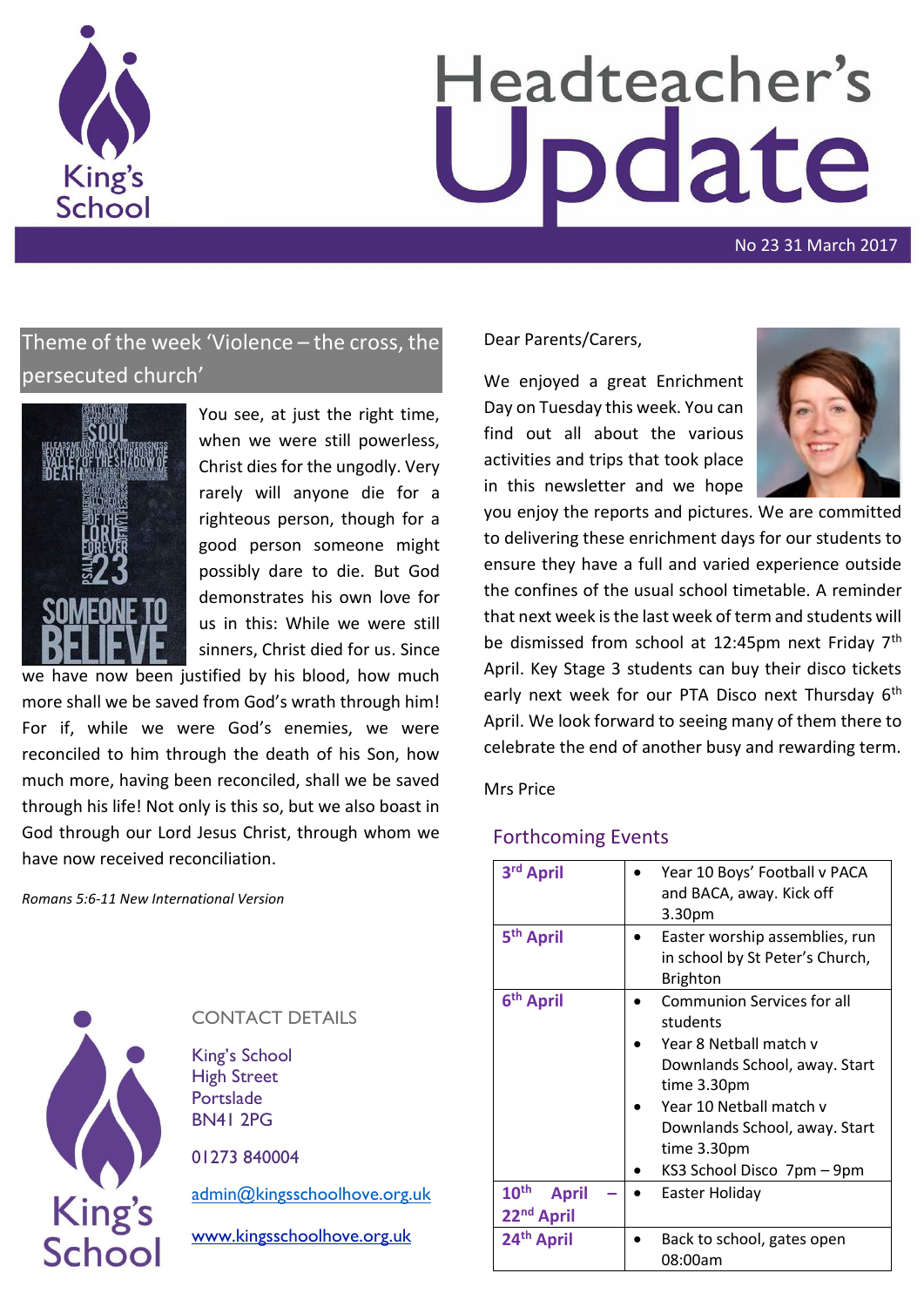

# Headteacher's pdate

No 23 31 March 2017

# Theme of the week 'Violence – the cross, the persecuted church'



You see, at just the right time, when we were still powerless, Christ dies for the ungodly. Very rarely will anyone die for a righteous person, though for a good person someone might possibly dare to die. But God demonstrates his own love for us in this: While we were still sinners, Christ died for us. Since

we have now been justified by his blood, how much more shall we be saved from God's wrath through him! For if, while we were God's enemies, we were reconciled to him through the death of his Son, how much more, having been reconciled, shall we be saved through his life! Not only is this so, but we also boast in God through our Lord Jesus Christ, through whom we have now received reconciliation.

*Romans 5:6-11 New International Version*



# CONTACT DETAILS

King's School High Street Portslade BN41 2PG

01273 840004

[admin@kingsschoolhove.org.uk](mailto:admin@kingsschoolhove.org.uk)

[www.kingsschoolhove.org.uk](http://www.kingsschoolhove.org.uk/)

## Dear Parents/Carers,

We enjoyed a great Enrichment Day on Tuesday this week. You can find out all about the various activities and trips that took place in this newsletter and we hope



you enjoy the reports and pictures. We are committed to delivering these enrichment days for our students to ensure they have a full and varied experience outside the confines of the usual school timetable. A reminder that next week is the last week of term and students will be dismissed from school at 12:45pm next Friday 7<sup>th</sup> April. Key Stage 3 students can buy their disco tickets early next week for our PTA Disco next Thursday 6<sup>th</sup> April. We look forward to seeing many of them there to celebrate the end of another busy and rewarding term.

Mrs Price

# Forthcoming Events

| 3rd April                                                  | Year 10 Boys' Football v PACA<br>and BACA, away. Kick off<br>3.30pm                                                                                                                                                              |
|------------------------------------------------------------|----------------------------------------------------------------------------------------------------------------------------------------------------------------------------------------------------------------------------------|
| 5 <sup>th</sup> April                                      | Easter worship assemblies, run<br>in school by St Peter's Church,<br><b>Brighton</b>                                                                                                                                             |
| 6 <sup>th</sup> April                                      | <b>Communion Services for all</b><br>students<br>Year 8 Netball match v<br>Downlands School, away. Start<br>time 3.30pm<br>Year 10 Netball match v<br>Downlands School, away. Start<br>time 3.30pm<br>KS3 School Disco 7pm - 9pm |
| 10 <sup>th</sup><br><b>April</b><br>22 <sup>nd</sup> April | Easter Holiday                                                                                                                                                                                                                   |
| 24th April                                                 | Back to school, gates open<br>08:00am                                                                                                                                                                                            |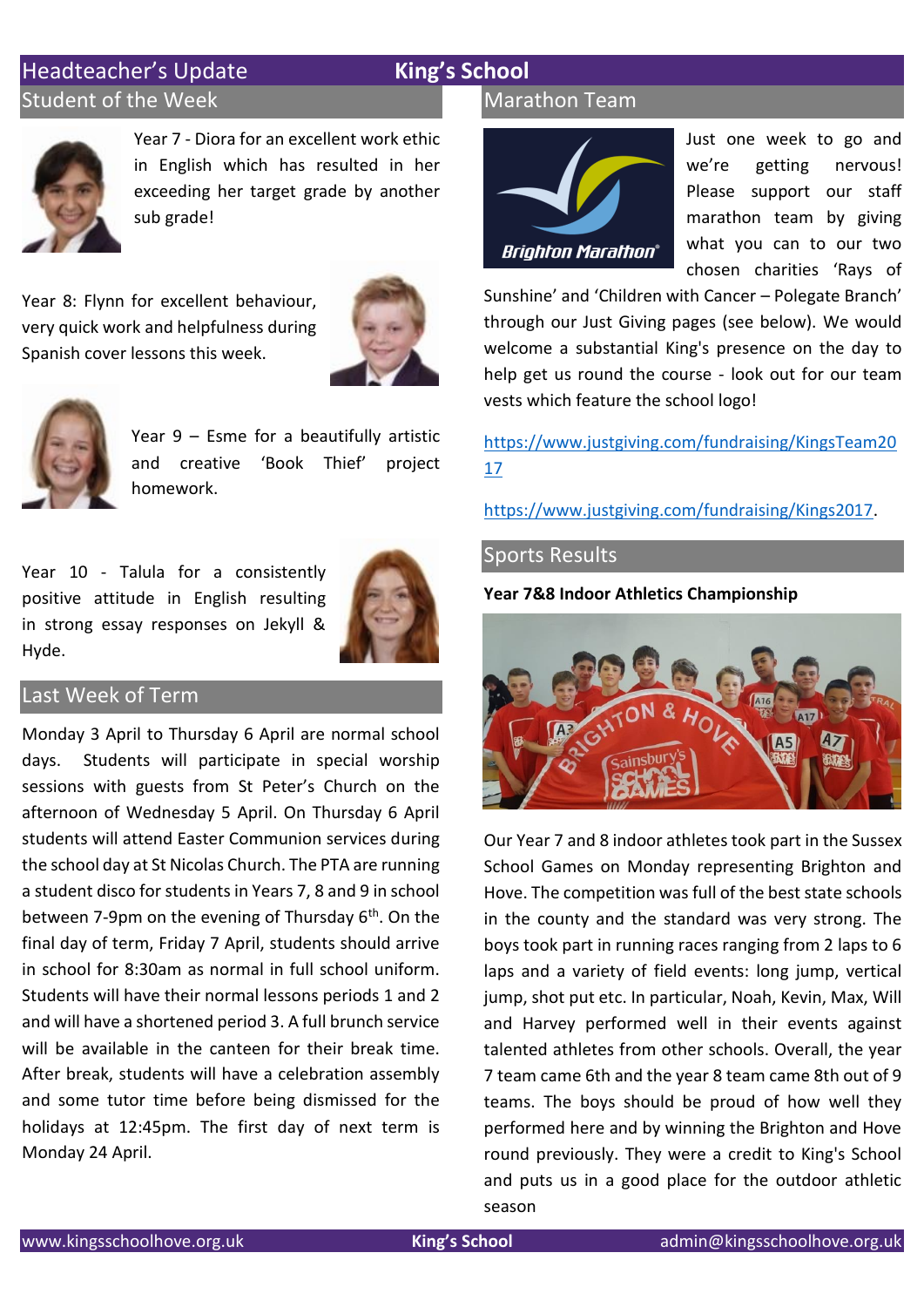# Headteacher's Update **King's School** Student of the Week



Year 7 - Diora for an excellent work ethic in English which has resulted in her exceeding her target grade by another sub grade!

Year 8: Flynn for excellent behaviour, very quick work and helpfulness during Spanish cover lessons this week.





Year 9 – Esme for a beautifully artistic and creative 'Book Thief' project homework.

Year 10 - Talula for a consistently positive attitude in English resulting in strong essay responses on Jekyll & Hyde.



# Last Week of Term

Monday 3 April to Thursday 6 April are normal school days. Students will participate in special worship sessions with guests from St Peter's Church on the afternoon of Wednesday 5 April. On Thursday 6 April students will attend Easter Communion services during the school day at St Nicolas Church. The PTA are running a student disco for students in Years 7, 8 and 9 in school between 7-9pm on the evening of Thursday  $6<sup>th</sup>$ . On the final day of term, Friday 7 April, students should arrive in school for 8:30am as normal in full school uniform. Students will have their normal lessons periods 1 and 2 and will have a shortened period 3. A full brunch service will be available in the canteen for their break time. After break, students will have a celebration assembly and some tutor time before being dismissed for the holidays at 12:45pm. The first day of next term is Monday 24 April.

# Marathon Team



Just one week to go and we're getting nervous! Please support our staff marathon team by giving what you can to our two chosen charities 'Rays of

Sunshine' and 'Children with Cancer – Polegate Branch' through our Just Giving pages (see below). We would welcome a substantial King's presence on the day to help get us round the course - look out for our team vests which feature the school logo!

[https://www.justgiving.com/fundraising/KingsTeam20](https://www.justgiving.com/fundraising/KingsTeam2017) [17](https://www.justgiving.com/fundraising/KingsTeam2017)

[https://www.justgiving.com/fundraising/Kings2017.](https://www.justgiving.com/fundraising/Kings2017)

## Sports Results

**Year 7&8 Indoor Athletics Championship**



Our Year 7 and 8 indoor athletes took part in the Sussex School Games on Monday representing Brighton and Hove. The competition was full of the best state schools in the county and the standard was very strong. The boys took part in running races ranging from 2 laps to 6 laps and a variety of field events: long jump, vertical jump, shot put etc. In particular, Noah, Kevin, Max, Will and Harvey performed well in their events against talented athletes from other schools. Overall, the year 7 team came 6th and the year 8 team came 8th out of 9 teams. The boys should be proud of how well they performed here and by winning the Brighton and Hove round previously. They were a credit to King's School and puts us in a good place for the outdoor athletic season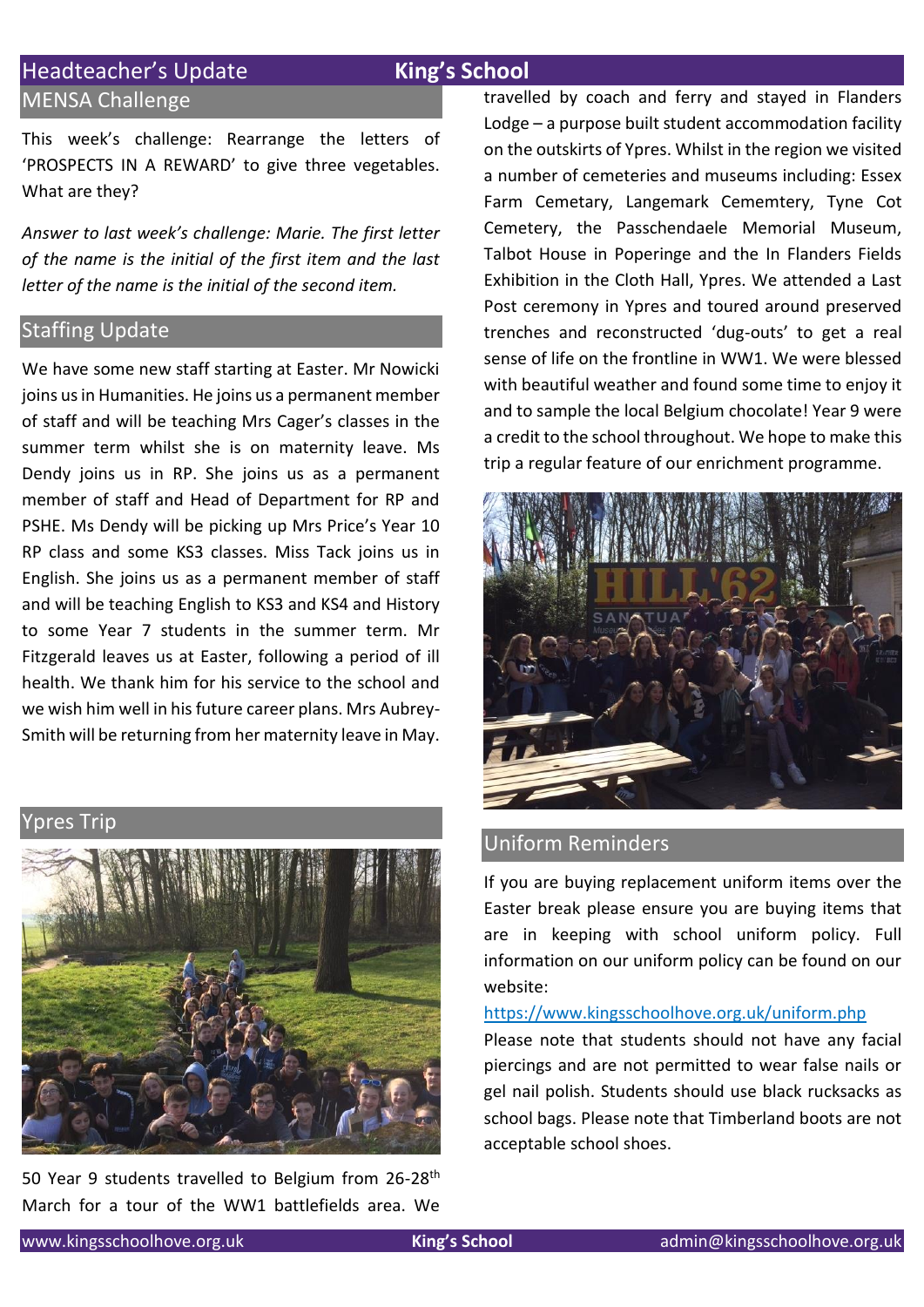# Headteacher's Update **King's School**

# MENSA Challenge

This week's challenge: Rearrange the letters of 'PROSPECTS IN A REWARD' to give three vegetables. What are they?

*Answer to last week's challenge: Marie. The first letter of the name is the initial of the first item and the last letter of the name is the initial of the second item.* 

# **Staffing Update**

We have some new staff starting at Easter. Mr Nowicki joins us in Humanities. He joins us a permanent member of staff and will be teaching Mrs Cager's classes in the summer term whilst she is on maternity leave. Ms Dendy joins us in RP. She joins us as a permanent member of staff and Head of Department for RP and PSHE. Ms Dendy will be picking up Mrs Price's Year 10 RP class and some KS3 classes. Miss Tack joins us in English. She joins us as a permanent member of staff and will be teaching English to KS3 and KS4 and History to some Year 7 students in the summer term. Mr Fitzgerald leaves us at Easter, following a period of ill health. We thank him for his service to the school and we wish him well in his future career plans. Mrs Aubrey-Smith will be returning from her maternity leave in May.

pres Trip



50 Year 9 students travelled to Belgium from 26-28<sup>th</sup> March for a tour of the WW1 battlefields area. We

travelled by coach and ferry and stayed in Flanders Lodge – a purpose built student accommodation facility on the outskirts of Ypres. Whilst in the region we visited a number of cemeteries and museums including: Essex Farm Cemetary, Langemark Cememtery, Tyne Cot Cemetery, the Passchendaele Memorial Museum, Talbot House in Poperinge and the In Flanders Fields Exhibition in the Cloth Hall, Ypres. We attended a Last Post ceremony in Ypres and toured around preserved trenches and reconstructed 'dug-outs' to get a real sense of life on the frontline in WW1. We were blessed with beautiful weather and found some time to enjoy it and to sample the local Belgium chocolate! Year 9 were a credit to the school throughout. We hope to make this trip a regular feature of our enrichment programme.



# Uniform Reminders

If you are buying replacement uniform items over the Easter break please ensure you are buying items that are in keeping with school uniform policy. Full information on our uniform policy can be found on our website:

### <https://www.kingsschoolhove.org.uk/uniform.php>

Please note that students should not have any facial piercings and are not permitted to wear false nails or gel nail polish. Students should use black rucksacks as school bags. Please note that Timberland boots are not acceptable school shoes.